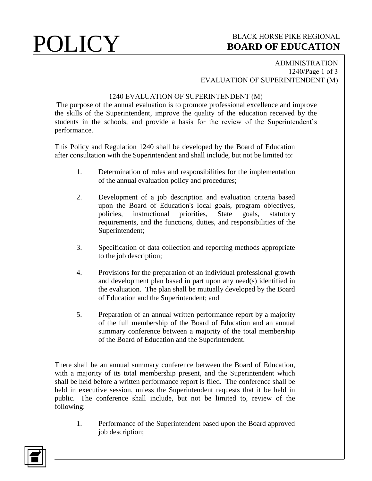# **POLICY** BLACK HORSE PIKE REGIONAL **BOARD OF EDUCATION BOARD OF EDUCATION**

### ADMINISTRATION 1240/Page 1 of 3 EVALUATION OF SUPERINTENDENT (M)

### 1240 EVALUATION OF SUPERINTENDENT (M)

The purpose of the annual evaluation is to promote professional excellence and improve the skills of the Superintendent, improve the quality of the education received by the students in the schools, and provide a basis for the review of the Superintendent's performance.

This Policy and Regulation 1240 shall be developed by the Board of Education after consultation with the Superintendent and shall include, but not be limited to:

- 1. Determination of roles and responsibilities for the implementation of the annual evaluation policy and procedures;
- 2. Development of a job description and evaluation criteria based upon the Board of Education's local goals, program objectives, policies, instructional priorities, State goals, statutory requirements, and the functions, duties, and responsibilities of the Superintendent;
- 3. Specification of data collection and reporting methods appropriate to the job description;
- 4. Provisions for the preparation of an individual professional growth and development plan based in part upon any need(s) identified in the evaluation. The plan shall be mutually developed by the Board of Education and the Superintendent; and
- 5. Preparation of an annual written performance report by a majority of the full membership of the Board of Education and an annual summary conference between a majority of the total membership of the Board of Education and the Superintendent.

There shall be an annual summary conference between the Board of Education, with a majority of its total membership present, and the Superintendent which shall be held before a written performance report is filed. The conference shall be held in executive session, unless the Superintendent requests that it be held in public. The conference shall include, but not be limited to, review of the following:

1. Performance of the Superintendent based upon the Board approved job description;

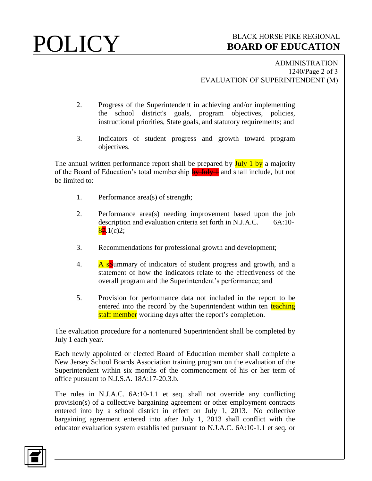## **POLICY** BLACK HORSE PIKE REGIONAL **BOARD OF EDUCATION BOARD OF EDUCATION**

ADMINISTRATION 1240/Page 2 of 3 EVALUATION OF SUPERINTENDENT (M)

- 2. Progress of the Superintendent in achieving and/or implementing the school district's goals, program objectives, policies, instructional priorities, State goals, and statutory requirements; and
- 3. Indicators of student progress and growth toward program objectives.

The annual written performance report shall be prepared by July 1 by a majority of the Board of Education's total membership  $\frac{1}{2}$  and shall include, but not be limited to:

- 1. Performance area(s) of strength;
- 2. Performance area(s) needing improvement based upon the job description and evaluation criteria set forth in N.J.A.C. 6A:10-  $87.1(c)2;$
- 3. Recommendations for professional growth and development;
- 4. A solummary of indicators of student progress and growth, and a statement of how the indicators relate to the effectiveness of the overall program and the Superintendent's performance; and
- 5. Provision for performance data not included in the report to be entered into the record by the Superintendent within ten teaching staff member working days after the report's completion.

The evaluation procedure for a nontenured Superintendent shall be completed by July 1 each year.

Each newly appointed or elected Board of Education member shall complete a New Jersey School Boards Association training program on the evaluation of the Superintendent within six months of the commencement of his or her term of office pursuant to N.J.S.A. 18A:17-20.3.b.

The rules in N.J.A.C. 6A:10-1.1 et seq. shall not override any conflicting provision(s) of a collective bargaining agreement or other employment contracts entered into by a school district in effect on July 1, 2013. No collective bargaining agreement entered into after July 1, 2013 shall conflict with the educator evaluation system established pursuant to N.J.A.C. 6A:10-1.1 et seq. or